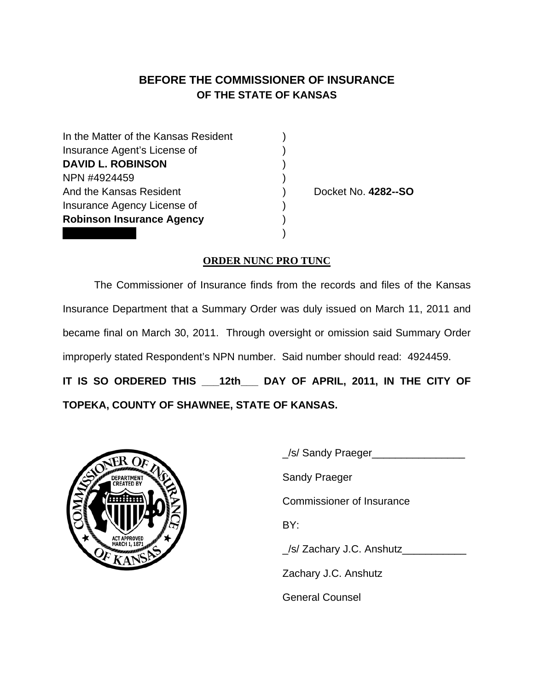## **BEFORE THE COMMISSIONER OF INSURANCE OF THE STATE OF KANSAS**

| In the Matter of the Kansas Resident |  |
|--------------------------------------|--|
| Insurance Agent's License of         |  |
| <b>DAVID L. ROBINSON</b>             |  |
| NPN #4924459                         |  |
| And the Kansas Resident              |  |
| Insurance Agency License of          |  |
| <b>Robinson Insurance Agency</b>     |  |
|                                      |  |

Docket No. **4282--SO** 

## **ORDER NUNC PRO TUNC**

 The Commissioner of Insurance finds from the records and files of the Kansas Insurance Department that a Summary Order was duly issued on March 11, 2011 and became final on March 30, 2011. Through oversight or omission said Summary Order improperly stated Respondent's NPN number. Said number should read: 4924459. **IT IS SO ORDERED THIS \_\_\_12th\_\_\_ DAY OF APRIL, 2011, IN THE CITY OF TOPEKA, COUNTY OF SHAWNEE, STATE OF KANSAS.** 



| <b>DEPARTMEN</b><br><b>CREATED BY</b><br>ΙŞ | _/s/ Sandy Praeger_              |
|---------------------------------------------|----------------------------------|
|                                             | <b>Sandy Praeger</b>             |
|                                             | <b>Commissioner of Insurance</b> |
|                                             | BY:                              |
|                                             | _/s/ Zachary J.C. Anshutz        |
|                                             | Zachary J.C. Anshutz             |
|                                             | <b>General Counsel</b>           |